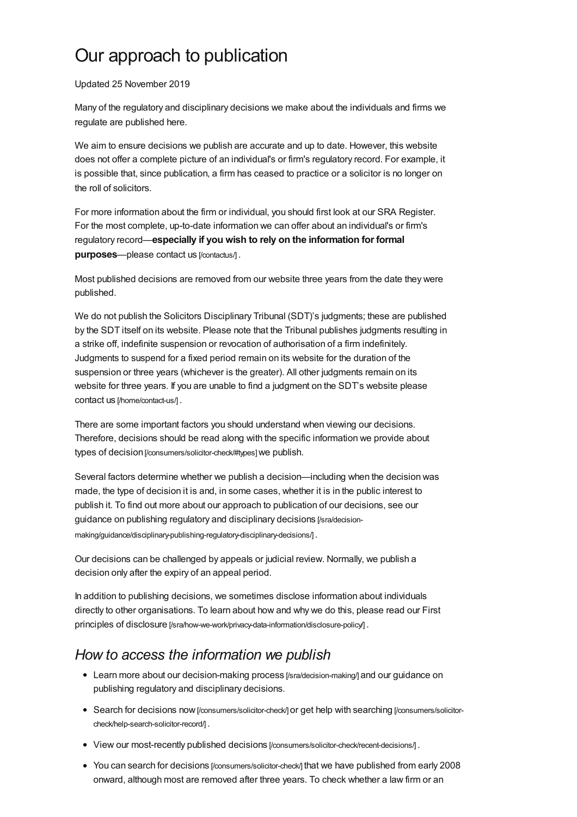## Our approach to publication

## Updated 25 November 2019

Many of the regulatory and disciplinary decisions we make about the individuals and [firms](https://www.sra.org.uk/consumers/using-solicitor/legal-jargon-explained#firm) we regulate are published here.

We aim to ensure decisions we publish are accurate and up to date. However, this website does not offer a complete picture of an individual's or firm's regulatory record. For example, it is possible that, since publication, a firm has ceased to practice or a [solicitor](https://www.sra.org.uk/consumers/using-solicitor/legal-jargon-explained#solicitor) is no longer on the roll of [solicitors](https://www.sra.org.uk/consumers/using-solicitor/legal-jargon-explained#roll).

For more information about the firm or individual, you should first look at our SRA Register. For the most complete, up-to-date information we can offer about an individual's or firm's regulatory record—**especially if you wish to rely on the information for formal** purposes--please contact us [\[/contactus/\]](https://www.sra.org.uk/contactus/).

Most published decisions are removed from our website three years from the date they were published.

We do not publish the Solicitors Disciplinary Tribunal (SDT)'s judgments; these are published by the SDT itself on its website. Please note that the Tribunal publishes judgments resulting in a strike off, indefinite suspension or revocation of authorisation of a firm indefinitely. Judgments to suspend for a fixed period remain on its website for the duration of the suspension or three years (whichever is the greater). All other judgments remain on its website for three years. If you are unable to find a judgment on the SDT's website please contact us [\[/home/contact-us/\]](https://www.sra.org.uk/home/contact-us/) .

There are some important factors you should understand when viewing our decisions. Therefore, decisions should be read along with the specific information we provide about types of decision [\[/consumers/solicitor-check/#types\]](https://www.sra.org.uk/consumers/solicitor-check/#types) we publish.

Several factors determine whether we publish a decision—including when the decision was made, the type of decision it is and, in some cases, whether it is in the public [interest](https://www.sra.org.uk/consumers/using-solicitor/legal-jargon-explained#public-interest) to publish it. To find out more about our approach to publication of our decisions, see our guidance on publishing regulatory and disciplinary decisions [/sra/decision[making/guidance/disciplinary-publishing-regulatory-disciplinary-decisions/\]](https://www.sra.org.uk/sra/decision-making/guidance/disciplinary-publishing-regulatory-disciplinary-decisions/) .

Our decisions can be challenged by appeals or judicial review. Normally, we publish a decision only after the expiry of an appeal period.

In addition to publishing decisions, we sometimes disclose information about individuals directly to other organisations. To learn about how and why we do this, please read our First principles of disclosure [/sra/how-we-work/privacy-data-information/disclosure-policy].

## *How to access the information we publish*

- Learn more about our [decision-making](https://www.sra.org.uk/sra/decision-making/) process [/sra/decision-making/] and our quidance on publishing regulatory and disciplinary decisions.
- Search for decisions now [\[/consumers/solicitor-check/\]](https://www.sra.org.uk/consumers/solicitor-check/) or get help with searching [/consumers/solicitor[check/help-search-solicitor-record/\]](https://www.sra.org.uk/consumers/solicitor-check/help-search-solicitor-record/) .
- View our most-recently published decisions [\[/consumers/solicitor-check/recent-decisions/\]](https://www.sra.org.uk/consumers/solicitor-check/recent-decisions/) .
- You can search for decisions [\[/consumers/solicitor-check/\]](https://www.sra.org.uk/consumers/solicitor-check/) that we have published from early 2008 onward, although most are removed after three years. To check whether a law firm or an